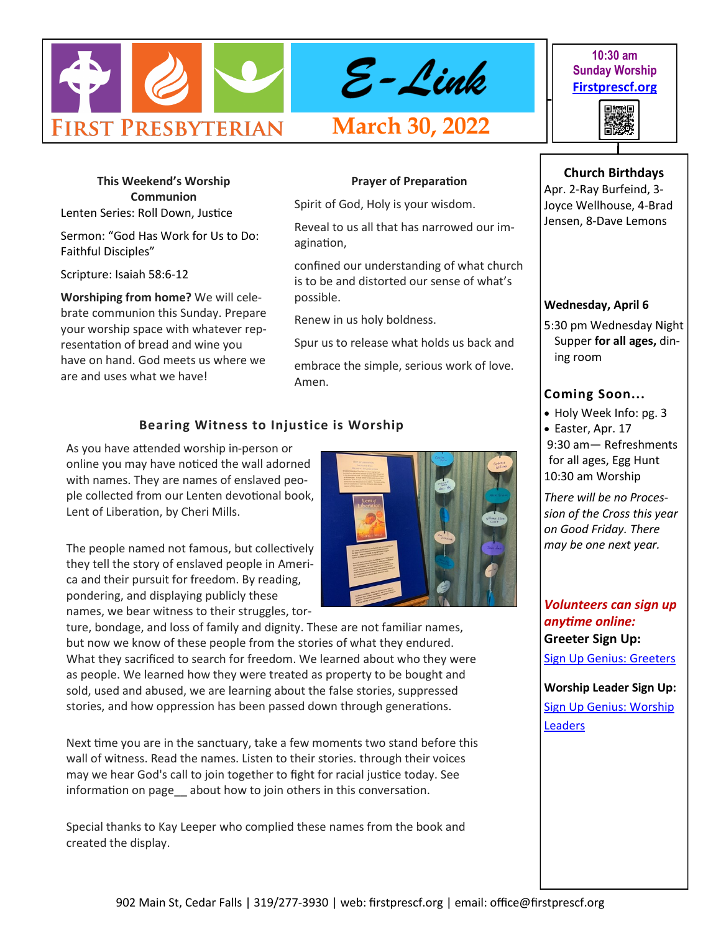

**This Weekend's Worship Communion** Lenten Series: Roll Down, Justice

Sermon: "God Has Work for Us to Do: Faithful Disciples"

Scripture: Isaiah 58:6-12

**Worshiping from home?** We will celebrate communion this Sunday. Prepare your worship space with whatever representation of bread and wine you have on hand. God meets us where we are and uses what we have!

**Prayer of Preparation** 

Spirit of God, Holy is your wisdom.

Reveal to us all that has narrowed our imagination,

confined our understanding of what church is to be and distorted our sense of what's possible.

Renew in us holy boldness.

Spur us to release what holds us back and

embrace the simple, serious work of love. Amen.

# **Bearing Witness to Injustice is Worship**

As you have attended worship in-person or online you may have noticed the wall adorned with names. They are names of enslaved people collected from our Lenten devotional book, Lent of Liberation, by Cheri Mills.

The people named not famous, but collectively they tell the story of enslaved people in America and their pursuit for freedom. By reading, pondering, and displaying publicly these names, we bear witness to their struggles, tor-

ture, bondage, and loss of family and dignity. These are not familiar names, but now we know of these people from the stories of what they endured. What they sacrificed to search for freedom. We learned about who they were as people. We learned how they were treated as property to be bought and sold, used and abused, we are learning about the false stories, suppressed

Next time you are in the sanctuary, take a few moments two stand before this wall of witness. Read the names. Listen to their stories. through their voices may we hear God's call to join together to fight for racial justice today. See information on page about how to join others in this conversation.

stories, and how oppression has been passed down through generations.

Special thanks to Kay Leeper who complied these names from the book and created the display.

#### **Wednesday, April 6**

5:30 pm Wednesday Night Supper **for all ages,** dining room

# **Coming Soon...**

• Holy Week Info: pg. 3 • Easter, Apr. 17 9:30 am— Refreshments for all ages, Egg Hunt 10:30 am Worship

*There will be no Procession of the Cross this year on Good Friday. There may be one next year.*

*Volunteers can sign up anytime online:* **Greeter Sign Up:**

[Sign Up Genius: Greeters](https://www.signupgenius.com/go/10C0D4BA9A728ABF4CF8-shepherds1)

**Worship Leader Sign Up:** [Sign Up Genius: Worship](https://www.signupgenius.com/go/10C0D4BA9A728ABF4CF8-worship)  [Leaders](https://www.signupgenius.com/go/10C0D4BA9A728ABF4CF8-worship)



# 902 Main St, Cedar Falls | 319/277-3930 | web: firstprescf.org | email: office@firstprescf.org

# **10:30 am Sunday Worship [Firstprescf.org](http://www.firstprescf.org)**



**Church Birthdays** Apr. 2-Ray Burfeind, 3- Joyce Wellhouse, 4-Brad Jensen, 8-Dave Lemons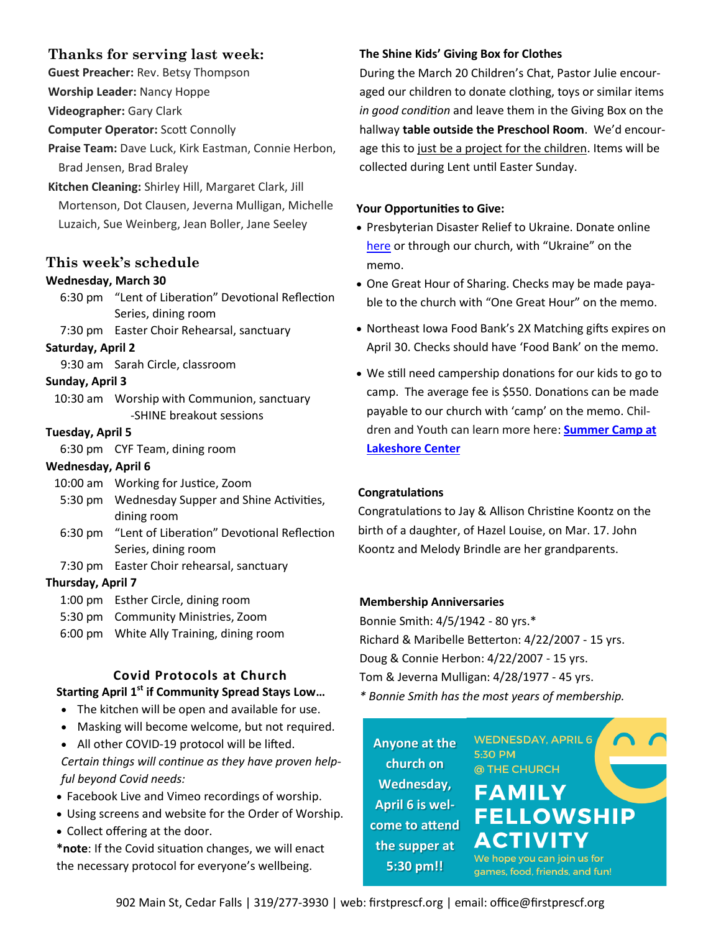# **Thanks for serving last week:**

**Guest Preacher:** Rev. Betsy Thompson

**Worship Leader:** Nancy Hoppe

**Videographer:** Gary Clark

**Computer Operator:** Scott Connolly

**Praise Team:** Dave Luck, Kirk Eastman, Connie Herbon, Brad Jensen, Brad Braley

**Kitchen Cleaning:** Shirley Hill, Margaret Clark, Jill Mortenson, Dot Clausen, Jeverna Mulligan, Michelle Luzaich, Sue Weinberg, Jean Boller, Jane Seeley

# **This week's schedule**

# **Wednesday, March 30**

6:30 pm "Lent of Liberation" Devotional Reflection Series, dining room

7:30 pm Easter Choir Rehearsal, sanctuary

# **Saturday, April 2**

9:30 am Sarah Circle, classroom

#### **Sunday, April 3**

10:30 am Worship with Communion, sanctuary -SHINE breakout sessions

# **Tuesday, April 5**

6:30 pm CYF Team, dining room

# **Wednesday, April 6**

- 10:00 am Working for Justice, Zoom
- 5:30 pm Wednesday Supper and Shine Activities, dining room
- 6:30 pm "Lent of Liberation" Devotional Reflection Series, dining room
- 7:30 pm Easter Choir rehearsal, sanctuary

# **Thursday, April 7**

- 1:00 pm Esther Circle, dining room
- 5:30 pm Community Ministries, Zoom
- 6:00 pm White Ally Training, dining room

# **Covid Protocols at Church Starting April 1st if Community Spread Stays Low…**

- The kitchen will be open and available for use.
- Masking will become welcome, but not required.
- All other COVID-19 protocol will be lifted.

*Certain things will continue as they have proven helpful beyond Covid needs:*

- Facebook Live and Vimeo recordings of worship.
- Using screens and website for the Order of Worship.
- Collect offering at the door.

**\*note**: If the Covid situation changes, we will enact the necessary protocol for everyone's wellbeing.

# **The Shine Kids' Giving Box for Clothes**

During the March 20 Children's Chat, Pastor Julie encouraged our children to donate clothing, toys or similar items *in good condition* and leave them in the Giving Box on the hallway **table outside the Preschool Room**. We'd encourage this to just be a project for the children. Items will be collected during Lent until Easter Sunday.

# **Your Opportunities to Give:**

- Presbyterian Disaster Relief to Ukraine. Donate online [here](https://pma.pcusa.org/donate/make-a-gift/gift-info/DR000156/?appeal=PDA&package=UK22-PNS) or through our church, with "Ukraine" on the memo.
- One Great Hour of Sharing. Checks may be made payable to the church with "One Great Hour" on the memo.
- Northeast Iowa Food Bank's 2X Matching gifts expires on April 30. Checks should have 'Food Bank' on the memo.
- We still need campership donations for our kids to go to camp. The average fee is \$550. Donations can be made payable to our church with 'camp' on the memo. Children and Youth can learn more here: **[Summer Camp at](https://www.lakeshorecenteratokoboji.org/summer-camp.html)  [Lakeshore Center](https://www.lakeshorecenteratokoboji.org/summer-camp.html)**

# **Congratulations**

Congratulations to Jay & Allison Christine Koontz on the birth of a daughter, of Hazel Louise, on Mar. 17. John Koontz and Melody Brindle are her grandparents.

# **Membership Anniversaries**

Bonnie Smith: 4/5/1942 - 80 yrs.\* Richard & Maribelle Betterton: 4/22/2007 - 15 yrs. Doug & Connie Herbon: 4/22/2007 - 15 yrs. Tom & Jeverna Mulligan: 4/28/1977 - 45 yrs. *\* Bonnie Smith has the most years of membership.*

5:30 PM

**Anyone at the church on Wednesday, April 6 is welcome to attend the supper at 5:30 pm!!**

@ THE CHURCH **FAMILY FELLOWSHIP** ACTIVITY

**WEDNESDAY, APRIL 6** 

We hope you can join us for games, food, friends, and fun!